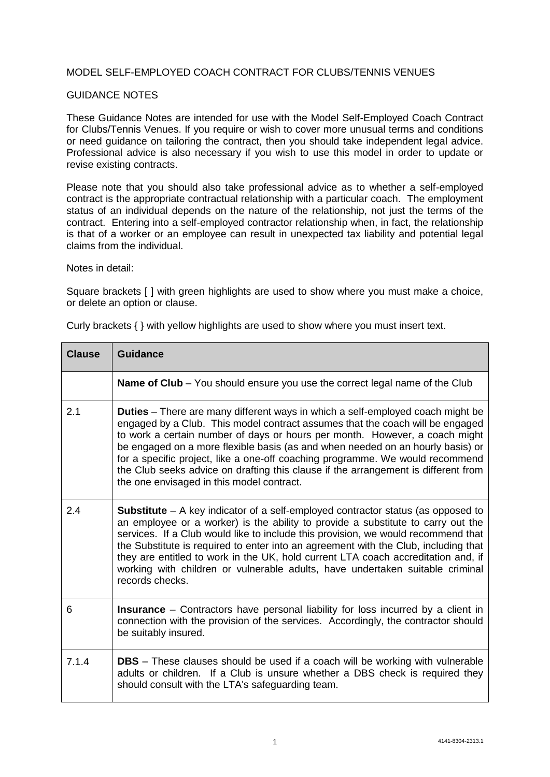## MODEL SELF-EMPLOYED COACH CONTRACT FOR CLUBS/TENNIS VENUES

## GUIDANCE NOTES

These Guidance Notes are intended for use with the Model Self-Employed Coach Contract for Clubs/Tennis Venues. If you require or wish to cover more unusual terms and conditions or need guidance on tailoring the contract, then you should take independent legal advice. Professional advice is also necessary if you wish to use this model in order to update or revise existing contracts.

Please note that you should also take professional advice as to whether a self-employed contract is the appropriate contractual relationship with a particular coach. The employment status of an individual depends on the nature of the relationship, not just the terms of the contract. Entering into a self-employed contractor relationship when, in fact, the relationship is that of a worker or an employee can result in unexpected tax liability and potential legal claims from the individual.

Notes in detail:

Square brackets [ ] with green highlights are used to show where you must make a choice, or delete an option or clause.

| <b>Clause</b> | <b>Guidance</b>                                                                                                                                                                                                                                                                                                                                                                                                                                                                                                                                             |
|---------------|-------------------------------------------------------------------------------------------------------------------------------------------------------------------------------------------------------------------------------------------------------------------------------------------------------------------------------------------------------------------------------------------------------------------------------------------------------------------------------------------------------------------------------------------------------------|
|               | <b>Name of Club</b> – You should ensure you use the correct legal name of the Club                                                                                                                                                                                                                                                                                                                                                                                                                                                                          |
| 2.1           | <b>Duties</b> – There are many different ways in which a self-employed coach might be<br>engaged by a Club. This model contract assumes that the coach will be engaged<br>to work a certain number of days or hours per month. However, a coach might<br>be engaged on a more flexible basis (as and when needed on an hourly basis) or<br>for a specific project, like a one-off coaching programme. We would recommend<br>the Club seeks advice on drafting this clause if the arrangement is different from<br>the one envisaged in this model contract. |
| 2.4           | Substitute - A key indicator of a self-employed contractor status (as opposed to<br>an employee or a worker) is the ability to provide a substitute to carry out the<br>services. If a Club would like to include this provision, we would recommend that<br>the Substitute is required to enter into an agreement with the Club, including that<br>they are entitled to work in the UK, hold current LTA coach accreditation and, if<br>working with children or vulnerable adults, have undertaken suitable criminal<br>records checks.                   |
| 6             | <b>Insurance</b> – Contractors have personal liability for loss incurred by a client in<br>connection with the provision of the services. Accordingly, the contractor should<br>be suitably insured.                                                                                                                                                                                                                                                                                                                                                        |
| 7.1.4         | <b>DBS</b> – These clauses should be used if a coach will be working with vulnerable<br>adults or children. If a Club is unsure whether a DBS check is required they<br>should consult with the LTA's safeguarding team.                                                                                                                                                                                                                                                                                                                                    |

Curly brackets { } with yellow highlights are used to show where you must insert text.